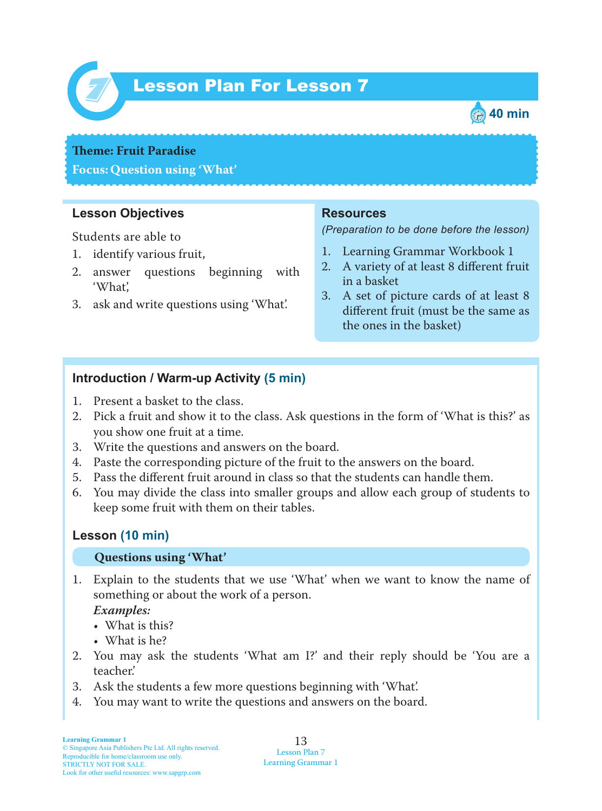

# Lesson Plan For Lesson 7 *7*



### **Theme: Fruit Paradise**

**Focus: Question using 'What'**

# **Lesson Objectives**

Students are able to

- 1. identify various fruit,
- 2. answer questions beginning with 'What',
- 3. ask and write questions using 'What'.

# **Resources**

*(Preparation to be done before the lesson)*

- 1. Learning Grammar Workbook 1
- 2. A variety of at least 8 different fruit in a basket
- 3. A set of picture cards of at least 8 different fruit (must be the same as the ones in the basket)

# **Introduction / Warm-up Activity (5 min)**

- 1. Present a basket to the class.
- 2. Pick a fruit and show it to the class. Ask questions in the form of 'What is this?' as you show one fruit at a time.
- 3. Write the questions and answers on the board.
- 4. Paste the corresponding picture of the fruit to the answers on the board.
- 5. Pass the different fruit around in class so that the students can handle them.
- 6 . You may divide the class into smaller groups and allow each group of students to keep some fruit with them on their tables.

### **Lesson (10 min)**

#### **Questions using 'What'**

1 . Explain to the students that we use 'What' when we want to know the name of something or about the work of a person.

### *Examples:*

- What is this?
- What is he?
- 2. You may ask the students 'What am I?' and their reply should be 'You are a teacher.'
- 3. Ask the students a few more questions beginning with 'What'.
- 4. You may want to write the questions and answers on the board.

13 Lesson Plan 7 Learning Grammar 1